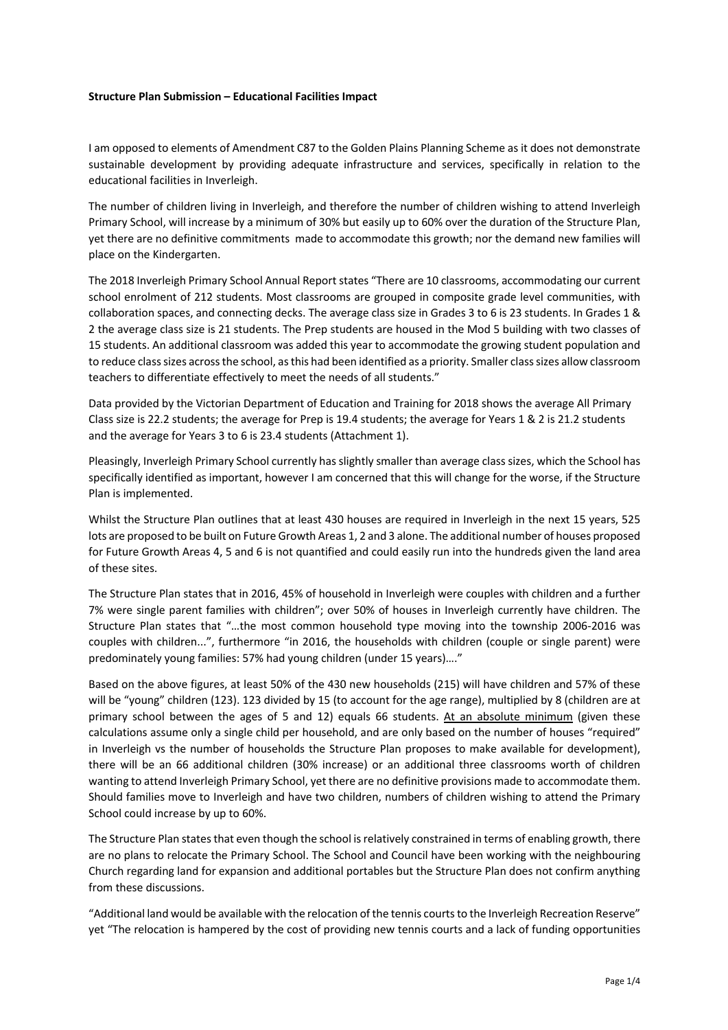## **Structure Plan Submission – Educational Facilities Impact**

I am opposed to elements of Amendment C87 to the Golden Plains Planning Scheme as it does not demonstrate sustainable development by providing adequate infrastructure and services, specifically in relation to the educational facilities in Inverleigh.

The number of children living in Inverleigh, and therefore the number of children wishing to attend Inverleigh Primary School, will increase by a minimum of 30% but easily up to 60% over the duration of the Structure Plan, yet there are no definitive commitments made to accommodate this growth; nor the demand new families will place on the Kindergarten.

The 2018 Inverleigh Primary School Annual Report states "There are 10 classrooms, accommodating our current school enrolment of 212 students. Most classrooms are grouped in composite grade level communities, with collaboration spaces, and connecting decks. The average class size in Grades 3 to 6 is 23 students. In Grades 1 & 2 the average class size is 21 students. The Prep students are housed in the Mod 5 building with two classes of 15 students. An additional classroom was added this year to accommodate the growing student population and to reduce class sizes across the school, as this had been identified as a priority. Smaller class sizes allow classroom teachers to differentiate effectively to meet the needs of all students."

Data provided by the Victorian Department of Education and Training for 2018 shows the average All Primary Class size is 22.2 students; the average for Prep is 19.4 students; the average for Years 1 & 2 is 21.2 students and the average for Years 3 to 6 is 23.4 students (Attachment 1).

Pleasingly, Inverleigh Primary School currently has slightly smaller than average class sizes, which the School has specifically identified as important, however I am concerned that this will change for the worse, if the Structure Plan is implemented.

Whilst the Structure Plan outlines that at least 430 houses are required in Inverleigh in the next 15 years, 525 lots are proposed to be built on Future Growth Areas 1, 2 and 3 alone. The additional number of houses proposed for Future Growth Areas 4, 5 and 6 is not quantified and could easily run into the hundreds given the land area of these sites.

The Structure Plan states that in 2016, 45% of household in Inverleigh were couples with children and a further 7% were single parent families with children"; over 50% of houses in Inverleigh currently have children. The Structure Plan states that "…the most common household type moving into the township 2006-2016 was couples with children...", furthermore "in 2016, the households with children (couple or single parent) were predominately young families: 57% had young children (under 15 years)…."

Based on the above figures, at least 50% of the 430 new households (215) will have children and 57% of these will be "young" children (123). 123 divided by 15 (to account for the age range), multiplied by 8 (children are at primary school between the ages of 5 and 12) equals 66 students. At an absolute minimum (given these calculations assume only a single child per household, and are only based on the number of houses "required" in Inverleigh vs the number of households the Structure Plan proposes to make available for development), there will be an 66 additional children (30% increase) or an additional three classrooms worth of children wanting to attend Inverleigh Primary School, yet there are no definitive provisions made to accommodate them. Should families move to Inverleigh and have two children, numbers of children wishing to attend the Primary School could increase by up to 60%.

The Structure Plan states that even though the school is relatively constrained in terms of enabling growth, there are no plans to relocate the Primary School. The School and Council have been working with the neighbouring Church regarding land for expansion and additional portables but the Structure Plan does not confirm anything from these discussions.

"Additional land would be available with the relocation of the tennis courts to the Inverleigh Recreation Reserve" yet "The relocation is hampered by the cost of providing new tennis courts and a lack of funding opportunities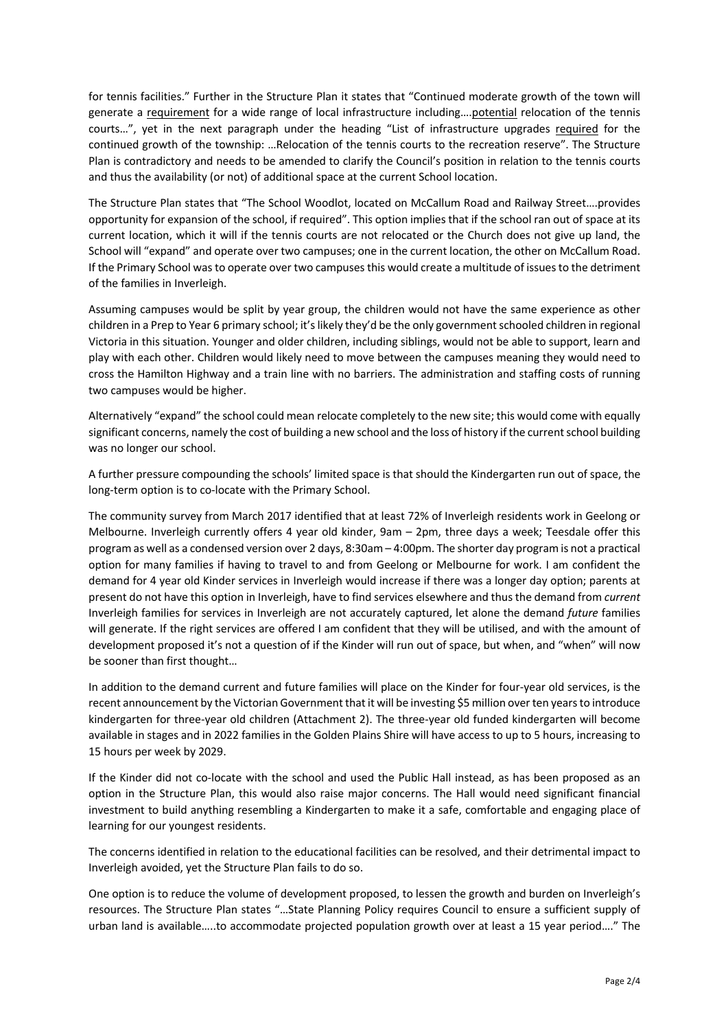for tennis facilities." Further in the Structure Plan it states that "Continued moderate growth of the town will generate a requirement for a wide range of local infrastructure including….potential relocation of the tennis courts…", yet in the next paragraph under the heading "List of infrastructure upgrades required for the continued growth of the township: …Relocation of the tennis courts to the recreation reserve". The Structure Plan is contradictory and needs to be amended to clarify the Council's position in relation to the tennis courts and thus the availability (or not) of additional space at the current School location.

The Structure Plan states that "The School Woodlot, located on McCallum Road and Railway Street….provides opportunity for expansion of the school, if required". This option implies that if the school ran out of space at its current location, which it will if the tennis courts are not relocated or the Church does not give up land, the School will "expand" and operate over two campuses; one in the current location, the other on McCallum Road. If the Primary School was to operate over two campuses this would create a multitude of issues to the detriment of the families in Inverleigh.

Assuming campuses would be split by year group, the children would not have the same experience as other children in a Prep to Year 6 primary school; it's likely they'd be the only government schooled children in regional Victoria in this situation. Younger and older children, including siblings, would not be able to support, learn and play with each other. Children would likely need to move between the campuses meaning they would need to cross the Hamilton Highway and a train line with no barriers. The administration and staffing costs of running two campuses would be higher.

Alternatively "expand" the school could mean relocate completely to the new site; this would come with equally significant concerns, namely the cost of building a new school and the loss of history if the current school building was no longer our school.

A further pressure compounding the schools' limited space is that should the Kindergarten run out of space, the long-term option is to co-locate with the Primary School.

The community survey from March 2017 identified that at least 72% of Inverleigh residents work in Geelong or Melbourne. Inverleigh currently offers 4 year old kinder, 9am – 2pm, three days a week; Teesdale offer this program as well as a condensed version over 2 days, 8:30am – 4:00pm. The shorter day program is not a practical option for many families if having to travel to and from Geelong or Melbourne for work. I am confident the demand for 4 year old Kinder services in Inverleigh would increase if there was a longer day option; parents at present do not have this option in Inverleigh, have to find services elsewhere and thus the demand from *current* Inverleigh families for services in Inverleigh are not accurately captured, let alone the demand *future* families will generate. If the right services are offered I am confident that they will be utilised, and with the amount of development proposed it's not a question of if the Kinder will run out of space, but when, and "when" will now be sooner than first thought…

In addition to the demand current and future families will place on the Kinder for four-year old services, is the recent announcement by the Victorian Government that it will be investing \$5 million over ten years to introduce kindergarten for three-year old children (Attachment 2). The three-year old funded kindergarten will become available in stages and in 2022 families in the Golden Plains Shire will have access to up to 5 hours, increasing to 15 hours per week by 2029.

If the Kinder did not co-locate with the school and used the Public Hall instead, as has been proposed as an option in the Structure Plan, this would also raise major concerns. The Hall would need significant financial investment to build anything resembling a Kindergarten to make it a safe, comfortable and engaging place of learning for our youngest residents.

The concerns identified in relation to the educational facilities can be resolved, and their detrimental impact to Inverleigh avoided, yet the Structure Plan fails to do so.

One option is to reduce the volume of development proposed, to lessen the growth and burden on Inverleigh's resources. The Structure Plan states "…State Planning Policy requires Council to ensure a sufficient supply of urban land is available…..to accommodate projected population growth over at least a 15 year period…." The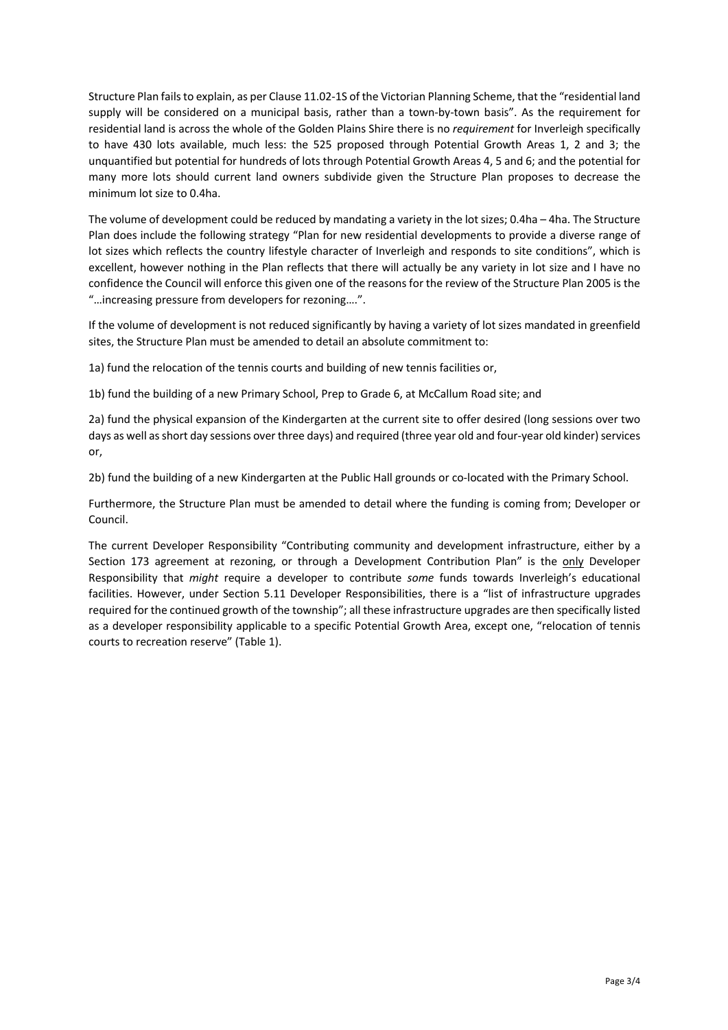Structure Plan fails to explain, as per Clause 11.02-1S of the Victorian Planning Scheme, that the "residential land supply will be considered on a municipal basis, rather than a town-by-town basis". As the requirement for residential land is across the whole of the Golden Plains Shire there is no *requirement* for Inverleigh specifically to have 430 lots available, much less: the 525 proposed through Potential Growth Areas 1, 2 and 3; the unquantified but potential for hundreds of lots through Potential Growth Areas 4, 5 and 6; and the potential for many more lots should current land owners subdivide given the Structure Plan proposes to decrease the minimum lot size to 0.4ha.

The volume of development could be reduced by mandating a variety in the lot sizes; 0.4ha – 4ha. The Structure Plan does include the following strategy "Plan for new residential developments to provide a diverse range of lot sizes which reflects the country lifestyle character of Inverleigh and responds to site conditions", which is excellent, however nothing in the Plan reflects that there will actually be any variety in lot size and I have no confidence the Council will enforce this given one of the reasons for the review of the Structure Plan 2005 is the "…increasing pressure from developers for rezoning….".

If the volume of development is not reduced significantly by having a variety of lot sizes mandated in greenfield sites, the Structure Plan must be amended to detail an absolute commitment to:

1a) fund the relocation of the tennis courts and building of new tennis facilities or,

1b) fund the building of a new Primary School, Prep to Grade 6, at McCallum Road site; and

2a) fund the physical expansion of the Kindergarten at the current site to offer desired (long sessions over two days as well as short day sessions over three days) and required (three year old and four-year old kinder) services or,

2b) fund the building of a new Kindergarten at the Public Hall grounds or co-located with the Primary School.

Furthermore, the Structure Plan must be amended to detail where the funding is coming from; Developer or Council.

The current Developer Responsibility "Contributing community and development infrastructure, either by a Section 173 agreement at rezoning, or through a Development Contribution Plan" is the only Developer Responsibility that *might* require a developer to contribute *some* funds towards Inverleigh's educational facilities. However, under Section 5.11 Developer Responsibilities, there is a "list of infrastructure upgrades required for the continued growth of the township"; all these infrastructure upgrades are then specifically listed as a developer responsibility applicable to a specific Potential Growth Area, except one, "relocation of tennis courts to recreation reserve" (Table 1).